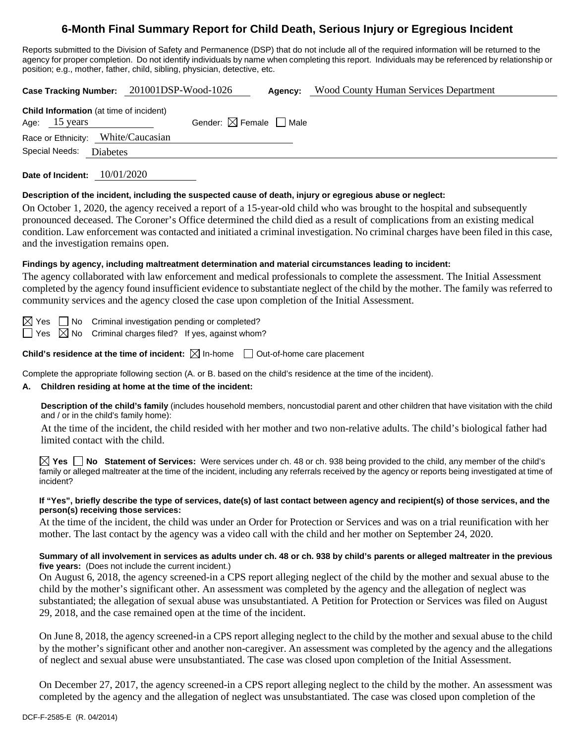# **6-Month Final Summary Report for Child Death, Serious Injury or Egregious Incident**

Reports submitted to the Division of Safety and Permanence (DSP) that do not include all of the required information will be returned to the agency for proper completion. Do not identify individuals by name when completing this report. Individuals may be referenced by relationship or position; e.g., mother, father, child, sibling, physician, detective, etc.

|                                                                    | Case Tracking Number: 201001DSP-Wood-1026 | Agency:                                | Wood County Human Services Department |
|--------------------------------------------------------------------|-------------------------------------------|----------------------------------------|---------------------------------------|
| <b>Child Information</b> (at time of incident)<br>15 years<br>Age: |                                           | Gender: $\boxtimes$ Female $\Box$ Male |                                       |
| Race or Ethnicity:                                                 | White/Caucasian                           |                                        |                                       |
| Special Needs:<br><b>Diabetes</b>                                  |                                           |                                        |                                       |
| Date of Incident:                                                  | 10/01/2020                                |                                        |                                       |

## **Description of the incident, including the suspected cause of death, injury or egregious abuse or neglect:**

On October 1, 2020, the agency received a report of a 15-year-old child who was brought to the hospital and subsequently pronounced deceased. The Coroner's Office determined the child died as a result of complications from an existing medical condition. Law enforcement was contacted and initiated a criminal investigation. No criminal charges have been filed in this case, and the investigation remains open.

#### **Findings by agency, including maltreatment determination and material circumstances leading to incident:**

The agency collaborated with law enforcement and medical professionals to complete the assessment. The Initial Assessment completed by the agency found insufficient evidence to substantiate neglect of the child by the mother. The family was referred to community services and the agency closed the case upon completion of the Initial Assessment.

 $\Box$  No Criminal investigation pending or completed?

 $\Box$  Yes  $\boxtimes$  No Criminal charges filed? If yes, against whom?

**Child's residence at the time of incident:**  $\boxtimes$  In-home  $\Box$  Out-of-home care placement

Complete the appropriate following section (A. or B. based on the child's residence at the time of the incident).

#### **A. Children residing at home at the time of the incident:**

**Description of the child's family** (includes household members, noncustodial parent and other children that have visitation with the child and / or in the child's family home):

At the time of the incident, the child resided with her mother and two non-relative adults. The child's biological father had limited contact with the child.

**Yes No Statement of Services:** Were services under ch. 48 or ch. 938 being provided to the child, any member of the child's family or alleged maltreater at the time of the incident, including any referrals received by the agency or reports being investigated at time of incident?

#### **If "Yes", briefly describe the type of services, date(s) of last contact between agency and recipient(s) of those services, and the person(s) receiving those services:**

At the time of the incident, the child was under an Order for Protection or Services and was on a trial reunification with her mother. The last contact by the agency was a video call with the child and her mother on September 24, 2020.

#### **Summary of all involvement in services as adults under ch. 48 or ch. 938 by child's parents or alleged maltreater in the previous five years:** (Does not include the current incident.)

On August 6, 2018, the agency screened-in a CPS report alleging neglect of the child by the mother and sexual abuse to the child by the mother's significant other. An assessment was completed by the agency and the allegation of neglect was substantiated; the allegation of sexual abuse was unsubstantiated. A Petition for Protection or Services was filed on August 29, 2018, and the case remained open at the time of the incident.

On June 8, 2018, the agency screened-in a CPS report alleging neglect to the child by the mother and sexual abuse to the child by the mother's significant other and another non-caregiver. An assessment was completed by the agency and the allegations of neglect and sexual abuse were unsubstantiated. The case was closed upon completion of the Initial Assessment.

On December 27, 2017, the agency screened-in a CPS report alleging neglect to the child by the mother. An assessment was completed by the agency and the allegation of neglect was unsubstantiated. The case was closed upon completion of the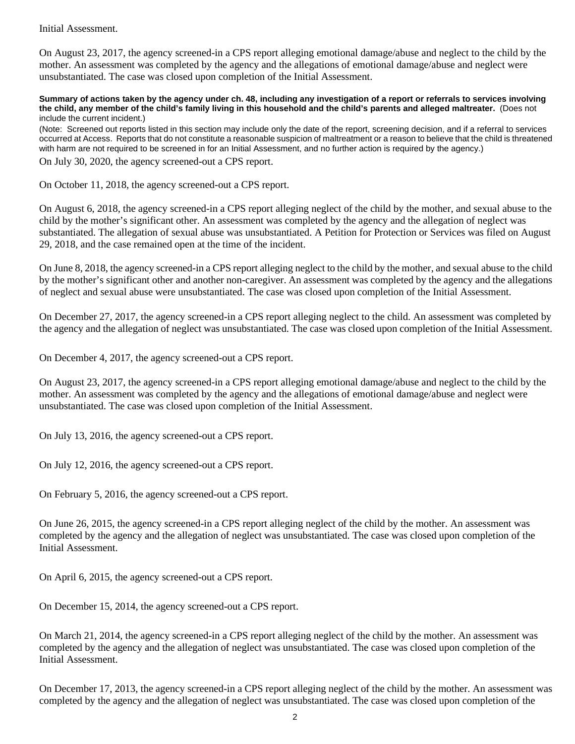Initial Assessment.

On August 23, 2017, the agency screened-in a CPS report alleging emotional damage/abuse and neglect to the child by the mother. An assessment was completed by the agency and the allegations of emotional damage/abuse and neglect were unsubstantiated. The case was closed upon completion of the Initial Assessment.

**Summary of actions taken by the agency under ch. 48, including any investigation of a report or referrals to services involving the child, any member of the child's family living in this household and the child's parents and alleged maltreater.** (Does not include the current incident.)

(Note: Screened out reports listed in this section may include only the date of the report, screening decision, and if a referral to services occurred at Access. Reports that do not constitute a reasonable suspicion of maltreatment or a reason to believe that the child is threatened with harm are not required to be screened in for an Initial Assessment, and no further action is required by the agency.) On July 30, 2020, the agency screened-out a CPS report.

On October 11, 2018, the agency screened-out a CPS report.

On August 6, 2018, the agency screened-in a CPS report alleging neglect of the child by the mother, and sexual abuse to the child by the mother's significant other. An assessment was completed by the agency and the allegation of neglect was substantiated. The allegation of sexual abuse was unsubstantiated. A Petition for Protection or Services was filed on August 29, 2018, and the case remained open at the time of the incident.

On June 8, 2018, the agency screened-in a CPS report alleging neglect to the child by the mother, and sexual abuse to the child by the mother's significant other and another non-caregiver. An assessment was completed by the agency and the allegations of neglect and sexual abuse were unsubstantiated. The case was closed upon completion of the Initial Assessment.

On December 27, 2017, the agency screened-in a CPS report alleging neglect to the child. An assessment was completed by the agency and the allegation of neglect was unsubstantiated. The case was closed upon completion of the Initial Assessment.

On December 4, 2017, the agency screened-out a CPS report.

On August 23, 2017, the agency screened-in a CPS report alleging emotional damage/abuse and neglect to the child by the mother. An assessment was completed by the agency and the allegations of emotional damage/abuse and neglect were unsubstantiated. The case was closed upon completion of the Initial Assessment.

On July 13, 2016, the agency screened-out a CPS report.

On July 12, 2016, the agency screened-out a CPS report.

On February 5, 2016, the agency screened-out a CPS report.

On June 26, 2015, the agency screened-in a CPS report alleging neglect of the child by the mother. An assessment was completed by the agency and the allegation of neglect was unsubstantiated. The case was closed upon completion of the Initial Assessment.

On April 6, 2015, the agency screened-out a CPS report.

On December 15, 2014, the agency screened-out a CPS report.

On March 21, 2014, the agency screened-in a CPS report alleging neglect of the child by the mother. An assessment was completed by the agency and the allegation of neglect was unsubstantiated. The case was closed upon completion of the Initial Assessment.

On December 17, 2013, the agency screened-in a CPS report alleging neglect of the child by the mother. An assessment was completed by the agency and the allegation of neglect was unsubstantiated. The case was closed upon completion of the